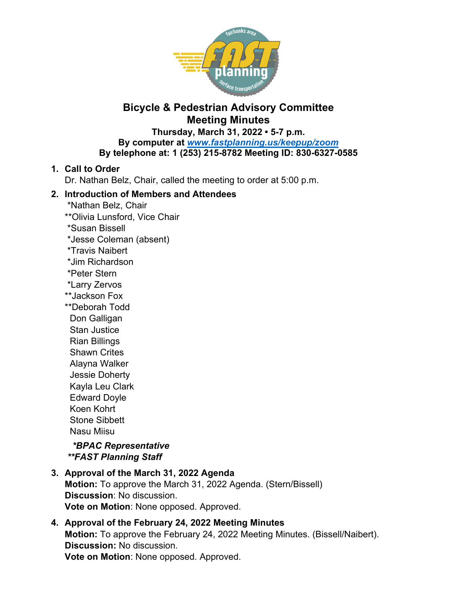

# **Bicycle & Pedestrian Advisory Committee Meeting Minutes**

**Thursday, March 31, 2022 • 5-7 p.m.** 

**By computer at** *www.fastplanning.us/keepup/zoom*

**By telephone at: 1 (253) 215-8782 Meeting ID: 830-6327-0585** 

# **1. Call to Order**

Dr. Nathan Belz, Chair, called the meeting to order at 5:00 p.m.

# **2. Introduction of Members and Attendees**

- \*Nathan Belz, Chair
- \*\*Olivia Lunsford, Vice Chair
- \*Susan Bissell
- \*Jesse Coleman (absent)
- \*Travis Naibert
- \*Jim Richardson
- \*Peter Stern
- \*Larry Zervos
- \*\*Jackson Fox
- \*\*Deborah Todd Don Galligan Stan Justice Rian Billings
- Shawn Crites Alayna Walker
- Jessie Doherty
- Kayla Leu Clark
- Edward Doyle
- Koen Kohrt
- 
- Stone Sibbett Nasu Miisu

 *\*BPAC Representative \*\*FAST Planning Staff* 

- **3. Approval of the March 31, 2022 Agenda Motion:** To approve the March 31, 2022 Agenda. (Stern/Bissell) **Discussion**: No discussion. **Vote on Motion**: None opposed. Approved.
- **4. Approval of the February 24, 2022 Meeting Minutes Motion:** To approve the February 24, 2022 Meeting Minutes. (Bissell/Naibert). **Discussion:** No discussion. **Vote on Motion**: None opposed. Approved.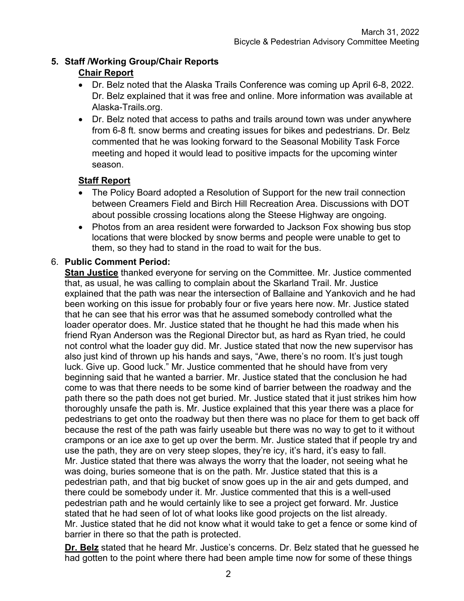# **5. Staff /Working Group/Chair Reports**

# **Chair Report**

- Dr. Belz noted that the Alaska Trails Conference was coming up April 6-8, 2022. Dr. Belz explained that it was free and online. More information was available at Alaska-Trails.org.
- Dr. Belz noted that access to paths and trails around town was under anywhere from 6-8 ft. snow berms and creating issues for bikes and pedestrians. Dr. Belz commented that he was looking forward to the Seasonal Mobility Task Force meeting and hoped it would lead to positive impacts for the upcoming winter season.

# **Staff Report**

- The Policy Board adopted a Resolution of Support for the new trail connection between Creamers Field and Birch Hill Recreation Area. Discussions with DOT about possible crossing locations along the Steese Highway are ongoing.
- Photos from an area resident were forwarded to Jackson Fox showing bus stop locations that were blocked by snow berms and people were unable to get to them, so they had to stand in the road to wait for the bus.

# 6. **Public Comment Period:**

**Stan Justice** thanked everyone for serving on the Committee. Mr. Justice commented that, as usual, he was calling to complain about the Skarland Trail. Mr. Justice explained that the path was near the intersection of Ballaine and Yankovich and he had been working on this issue for probably four or five years here now. Mr. Justice stated that he can see that his error was that he assumed somebody controlled what the loader operator does. Mr. Justice stated that he thought he had this made when his friend Ryan Anderson was the Regional Director but, as hard as Ryan tried, he could not control what the loader guy did. Mr. Justice stated that now the new supervisor has also just kind of thrown up his hands and says, "Awe, there's no room. It's just tough luck. Give up. Good luck." Mr. Justice commented that he should have from very beginning said that he wanted a barrier. Mr. Justice stated that the conclusion he had come to was that there needs to be some kind of barrier between the roadway and the path there so the path does not get buried. Mr. Justice stated that it just strikes him how thoroughly unsafe the path is. Mr. Justice explained that this year there was a place for pedestrians to get onto the roadway but then there was no place for them to get back off because the rest of the path was fairly useable but there was no way to get to it without crampons or an ice axe to get up over the berm. Mr. Justice stated that if people try and use the path, they are on very steep slopes, they're icy, it's hard, it's easy to fall. Mr. Justice stated that there was always the worry that the loader, not seeing what he was doing, buries someone that is on the path. Mr. Justice stated that this is a pedestrian path, and that big bucket of snow goes up in the air and gets dumped, and there could be somebody under it. Mr. Justice commented that this is a well-used pedestrian path and he would certainly like to see a project get forward. Mr. Justice stated that he had seen of lot of what looks like good projects on the list already. Mr. Justice stated that he did not know what it would take to get a fence or some kind of barrier in there so that the path is protected.

**Dr. Belz** stated that he heard Mr. Justice's concerns. Dr. Belz stated that he guessed he had gotten to the point where there had been ample time now for some of these things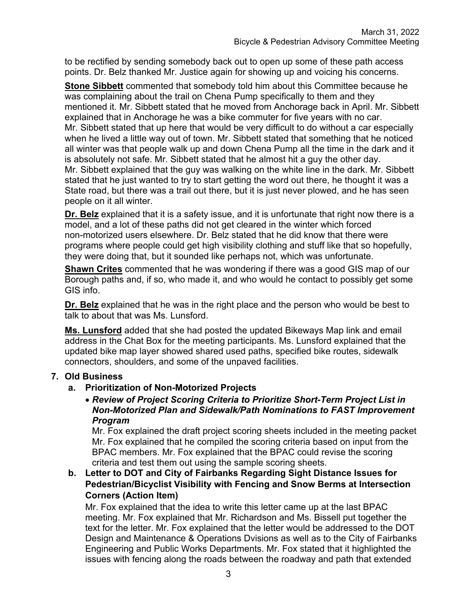to be rectified by sending somebody back out to open up some of these path access points. Dr. Belz thanked Mr. Justice again for showing up and voicing his concerns.

**Stone Sibbett** commented that somebody told him about this Committee because he was complaining about the trail on Chena Pump specifically to them and they mentioned it. Mr. Sibbett stated that he moved from Anchorage back in April. Mr. Sibbett explained that in Anchorage he was a bike commuter for five years with no car. Mr. Sibbett stated that up here that would be very difficult to do without a car especially when he lived a little way out of town. Mr. Sibbett stated that something that he noticed all winter was that people walk up and down Chena Pump all the time in the dark and it is absolutely not safe. Mr. Sibbett stated that he almost hit a guy the other day. Mr. Sibbett explained that the guy was walking on the white line in the dark. Mr. Sibbett stated that he just wanted to try to start getting the word out there, he thought it was a State road, but there was a trail out there, but it is just never plowed, and he has seen people on it all winter.

**Dr. Belz** explained that it is a safety issue, and it is unfortunate that right now there is a model, and a lot of these paths did not get cleared in the winter which forced non-motorized users elsewhere. Dr. Belz stated that he did know that there were programs where people could get high visibility clothing and stuff like that so hopefully, they were doing that, but it sounded like perhaps not, which was unfortunate.

**Shawn Crites** commented that he was wondering if there was a good GIS map of our Borough paths and, if so, who made it, and who would he contact to possibly get some GIS info.

**Dr. Belz** explained that he was in the right place and the person who would be best to talk to about that was Ms. Lunsford.

**Ms. Lunsford** added that she had posted the updated Bikeways Map link and email address in the Chat Box for the meeting participants. Ms. Lunsford explained that the updated bike map layer showed shared used paths, specified bike routes, sidewalk connectors, shoulders, and some of the unpaved facilities.

### **7. Old Business**

#### **a. Prioritization of Non-Motorized Projects**

#### *Review of Project Scoring Criteria to Prioritize Short-Term Project List in Non-Motorized Plan and Sidewalk/Path Nominations to FAST Improvement Program*

Mr. Fox explained the draft project scoring sheets included in the meeting packet Mr. Fox explained that he compiled the scoring criteria based on input from the BPAC members. Mr. Fox explained that the BPAC could revise the scoring criteria and test them out using the sample scoring sheets.

**b. Letter to DOT and City of Fairbanks Regarding Sight Distance Issues for Pedestrian/Bicyclist Visibility with Fencing and Snow Berms at Intersection Corners (Action Item)**

Mr. Fox explained that the idea to write this letter came up at the last BPAC meeting. Mr. Fox explained that Mr. Richardson and Ms. Bissell put together the text for the letter. Mr. Fox explained that the letter would be addressed to the DOT Design and Maintenance & Operations Dvisions as well as to the City of Fairbanks Engineering and Public Works Departments. Mr. Fox stated that it highlighted the issues with fencing along the roads between the roadway and path that extended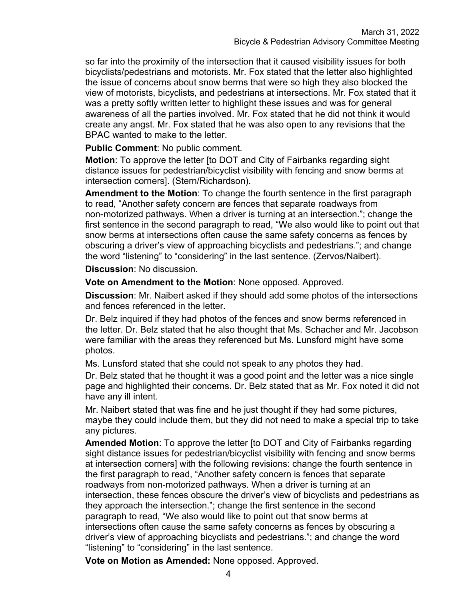so far into the proximity of the intersection that it caused visibility issues for both bicyclists/pedestrians and motorists. Mr. Fox stated that the letter also highlighted the issue of concerns about snow berms that were so high they also blocked the view of motorists, bicyclists, and pedestrians at intersections. Mr. Fox stated that it was a pretty softly written letter to highlight these issues and was for general awareness of all the parties involved. Mr. Fox stated that he did not think it would create any angst. Mr. Fox stated that he was also open to any revisions that the BPAC wanted to make to the letter.

**Public Comment**: No public comment.

**Motion**: To approve the letter [to DOT and City of Fairbanks regarding sight distance issues for pedestrian/bicyclist visibility with fencing and snow berms at intersection corners]. (Stern/Richardson).

**Amendment to the Motion**: To change the fourth sentence in the first paragraph to read, "Another safety concern are fences that separate roadways from non-motorized pathways. When a driver is turning at an intersection."; change the first sentence in the second paragraph to read, "We also would like to point out that snow berms at intersections often cause the same safety concerns as fences by obscuring a driver's view of approaching bicyclists and pedestrians."; and change the word "listening" to "considering" in the last sentence. (Zervos/Naibert).

**Discussion**: No discussion.

**Vote on Amendment to the Motion**: None opposed. Approved.

**Discussion**: Mr. Naibert asked if they should add some photos of the intersections and fences referenced in the letter.

Dr. Belz inquired if they had photos of the fences and snow berms referenced in the letter. Dr. Belz stated that he also thought that Ms. Schacher and Mr. Jacobson were familiar with the areas they referenced but Ms. Lunsford might have some photos.

Ms. Lunsford stated that she could not speak to any photos they had.

Dr. Belz stated that he thought it was a good point and the letter was a nice single page and highlighted their concerns. Dr. Belz stated that as Mr. Fox noted it did not have any ill intent.

Mr. Naibert stated that was fine and he just thought if they had some pictures, maybe they could include them, but they did not need to make a special trip to take any pictures.

**Amended Motion**: To approve the letter [to DOT and City of Fairbanks regarding sight distance issues for pedestrian/bicyclist visibility with fencing and snow berms at intersection corners] with the following revisions: change the fourth sentence in the first paragraph to read, "Another safety concern is fences that separate roadways from non-motorized pathways. When a driver is turning at an intersection, these fences obscure the driver's view of bicyclists and pedestrians as they approach the intersection."; change the first sentence in the second paragraph to read, "We also would like to point out that snow berms at intersections often cause the same safety concerns as fences by obscuring a driver's view of approaching bicyclists and pedestrians."; and change the word "listening" to "considering" in the last sentence.

**Vote on Motion as Amended:** None opposed. Approved.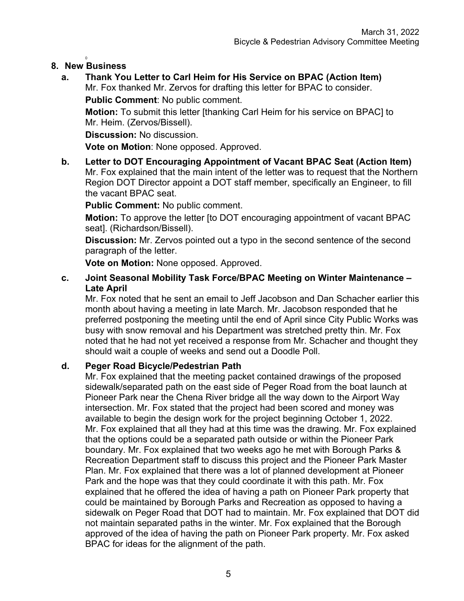#### 0 **8. New Business**

**a. Thank You Letter to Carl Heim for His Service on BPAC (Action Item)**  Mr. Fox thanked Mr. Zervos for drafting this letter for BPAC to consider.

**Public Comment**: No public comment.

**Motion:** To submit this letter [thanking Carl Heim for his service on BPAC] to Mr. Heim. (Zervos/Bissell).

**Discussion:** No discussion.

**Vote on Motion**: None opposed. Approved.

**b. Letter to DOT Encouraging Appointment of Vacant BPAC Seat (Action Item)**  Mr. Fox explained that the main intent of the letter was to request that the Northern Region DOT Director appoint a DOT staff member, specifically an Engineer, to fill the vacant BPAC seat.

**Public Comment:** No public comment.

**Motion:** To approve the letter [to DOT encouraging appointment of vacant BPAC seat]. (Richardson/Bissell).

**Discussion:** Mr. Zervos pointed out a typo in the second sentence of the second paragraph of the letter.

**Vote on Motion:** None opposed. Approved.

### **c. Joint Seasonal Mobility Task Force/BPAC Meeting on Winter Maintenance – Late April**

Mr. Fox noted that he sent an email to Jeff Jacobson and Dan Schacher earlier this month about having a meeting in late March. Mr. Jacobson responded that he preferred postponing the meeting until the end of April since City Public Works was busy with snow removal and his Department was stretched pretty thin. Mr. Fox noted that he had not yet received a response from Mr. Schacher and thought they should wait a couple of weeks and send out a Doodle Poll.

### **d. Peger Road Bicycle/Pedestrian Path**

Mr. Fox explained that the meeting packet contained drawings of the proposed sidewalk/separated path on the east side of Peger Road from the boat launch at Pioneer Park near the Chena River bridge all the way down to the Airport Way intersection. Mr. Fox stated that the project had been scored and money was available to begin the design work for the project beginning October 1, 2022. Mr. Fox explained that all they had at this time was the drawing. Mr. Fox explained that the options could be a separated path outside or within the Pioneer Park boundary. Mr. Fox explained that two weeks ago he met with Borough Parks & Recreation Department staff to discuss this project and the Pioneer Park Master Plan. Mr. Fox explained that there was a lot of planned development at Pioneer Park and the hope was that they could coordinate it with this path. Mr. Fox explained that he offered the idea of having a path on Pioneer Park property that could be maintained by Borough Parks and Recreation as opposed to having a sidewalk on Peger Road that DOT had to maintain. Mr. Fox explained that DOT did not maintain separated paths in the winter. Mr. Fox explained that the Borough approved of the idea of having the path on Pioneer Park property. Mr. Fox asked BPAC for ideas for the alignment of the path.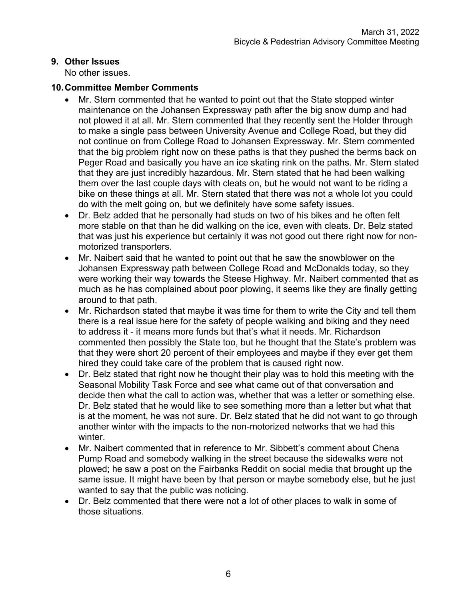## **9. Other Issues**

No other issues.

### **10. Committee Member Comments**

- Mr. Stern commented that he wanted to point out that the State stopped winter maintenance on the Johansen Expressway path after the big snow dump and had not plowed it at all. Mr. Stern commented that they recently sent the Holder through to make a single pass between University Avenue and College Road, but they did not continue on from College Road to Johansen Expressway. Mr. Stern commented that the big problem right now on these paths is that they pushed the berms back on Peger Road and basically you have an ice skating rink on the paths. Mr. Stern stated that they are just incredibly hazardous. Mr. Stern stated that he had been walking them over the last couple days with cleats on, but he would not want to be riding a bike on these things at all. Mr. Stern stated that there was not a whole lot you could do with the melt going on, but we definitely have some safety issues.
- Dr. Belz added that he personally had studs on two of his bikes and he often felt more stable on that than he did walking on the ice, even with cleats. Dr. Belz stated that was just his experience but certainly it was not good out there right now for nonmotorized transporters.
- Mr. Naibert said that he wanted to point out that he saw the snowblower on the Johansen Expressway path between College Road and McDonalds today, so they were working their way towards the Steese Highway. Mr. Naibert commented that as much as he has complained about poor plowing, it seems like they are finally getting around to that path.
- Mr. Richardson stated that maybe it was time for them to write the City and tell them there is a real issue here for the safety of people walking and biking and they need to address it - it means more funds but that's what it needs. Mr. Richardson commented then possibly the State too, but he thought that the State's problem was that they were short 20 percent of their employees and maybe if they ever get them hired they could take care of the problem that is caused right now.
- Dr. Belz stated that right now he thought their play was to hold this meeting with the Seasonal Mobility Task Force and see what came out of that conversation and decide then what the call to action was, whether that was a letter or something else. Dr. Belz stated that he would like to see something more than a letter but what that is at the moment, he was not sure. Dr. Belz stated that he did not want to go through another winter with the impacts to the non-motorized networks that we had this winter.
- Mr. Naibert commented that in reference to Mr. Sibbett's comment about Chena Pump Road and somebody walking in the street because the sidewalks were not plowed; he saw a post on the Fairbanks Reddit on social media that brought up the same issue. It might have been by that person or maybe somebody else, but he just wanted to say that the public was noticing.
- Dr. Belz commented that there were not a lot of other places to walk in some of those situations.